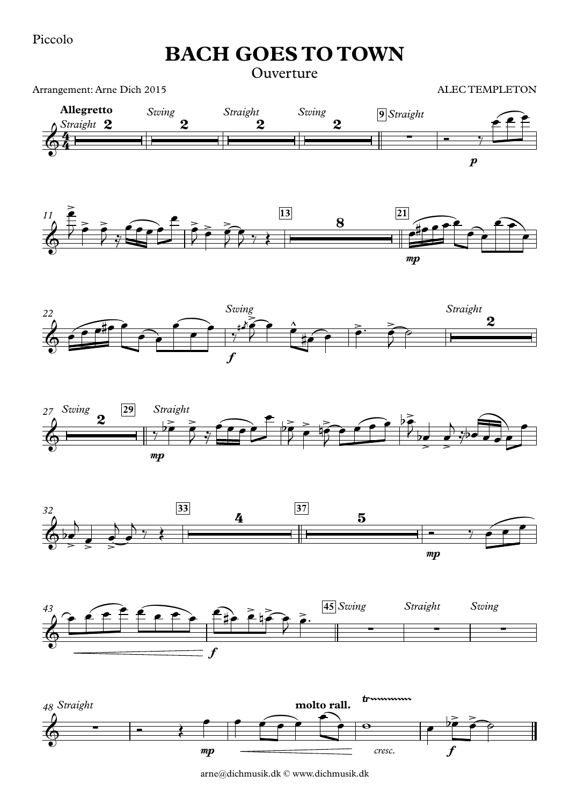Piccolo

Arrangement: Arne Dich 2015

**BACH GOES TO TOWN**

**Ouverture** 

ALEC TEMPLETON

 $\boldsymbol{p}$ **Allegretto** *Straight* 2 *Sw Straight ing Straight Swing* **9** mp  $11 \t{2}$  **13 21**  $\frac{2}{2}$   $\frac{3wng}{2}$   $\frac{9}{2}$ ∑  $\begin{array}{c} \bullet \end{array}$   $\begin{array}{c} \bullet \end{array}$   $\begin{array}{c} \bullet \end{array}$  $\geq$  $\geq$   $\geq$   $\sim$   $\geq$   $\geq$   $\geq$   $\geq$   $\geq$   $\geq$   $\geq$   $\geq$   $\geq$   $\geq$   $\geq$   $\geq$   $\geq$   $\geq$   $\geq$   $\geq$   $\geq$   $\geq$   $\geq$   $\geq$   $\geq$   $\geq$   $\geq$   $\geq$   $\geq$   $\geq$   $\geq$   $\geq$   $\geq$   $\geq$   $\geq$   $\geq$   $\geq$   $\geq$   $\overline{\phantom{a}}$   $\overline{\phantom{a}}$   $\overline{\phantom{a}}$   $\overline{\phantom{a}}$   $\overline{\phantom{a}}$   $\overline{\phantom{a}}$   $\overline{\phantom{a}}$   $\overline{\phantom{a}}$   $\overline{\phantom{a}}$   $\overline{\phantom{a}}$   $\overline{\phantom{a}}$   $\overline{\phantom{a}}$   $\overline{\phantom{a}}$   $\overline{\phantom{a}}$   $\overline{\phantom{a}}$   $\overline{\phantom{a}}$   $\overline{\phantom{a}}$   $\overline{\phantom{a}}$   $\overline{\$  $e \bigoplus$ œ  $\overline{J}$   $\overline{O}$   $\overline{O}$   $\overline{O}$   $\overline{O}$   $\overline{O}$  $\frac{1}{2}$  $\overrightarrow{ce}$  $\epsilon$  $\frac{2}{\sqrt{2}}$  $\sum_{i=1}^{n} \sum_{j=1}^{n} \frac{1}{j}$  $75.7$  $\leftrightarrow$  $773$  $\frac{8}{100}$  $\overrightarrow{CP} \cdot \overrightarrow{P}$  $\overrightarrow{e}$  $\rightarrow$ œ









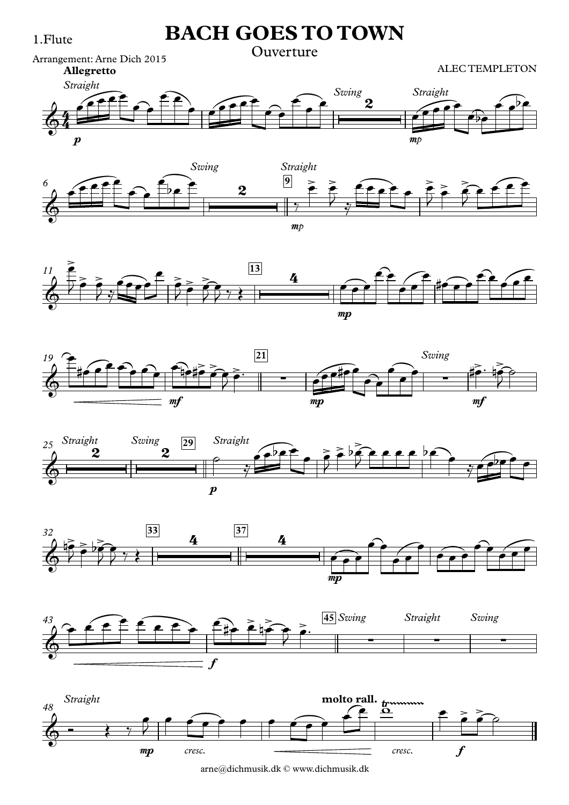















arne@dichmusik.dk © www.dichmusik.dk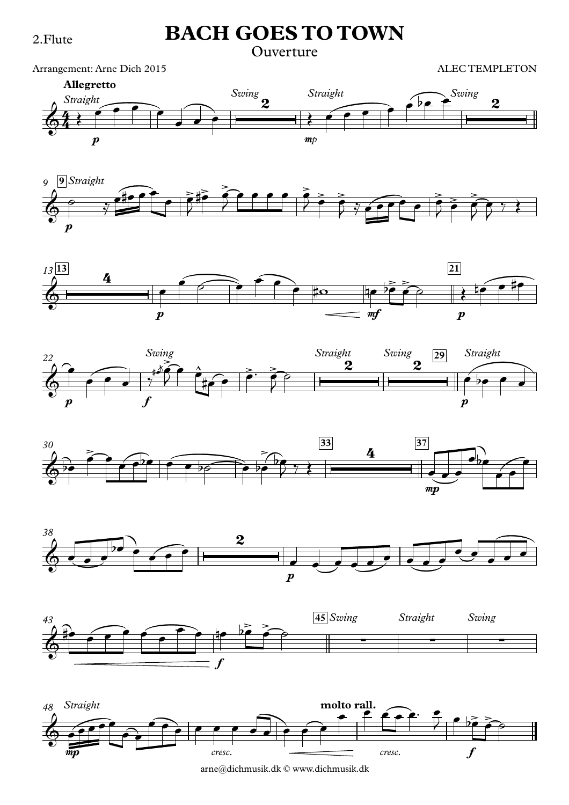#### Ouverture

Arrangement: Arne Dich 2015















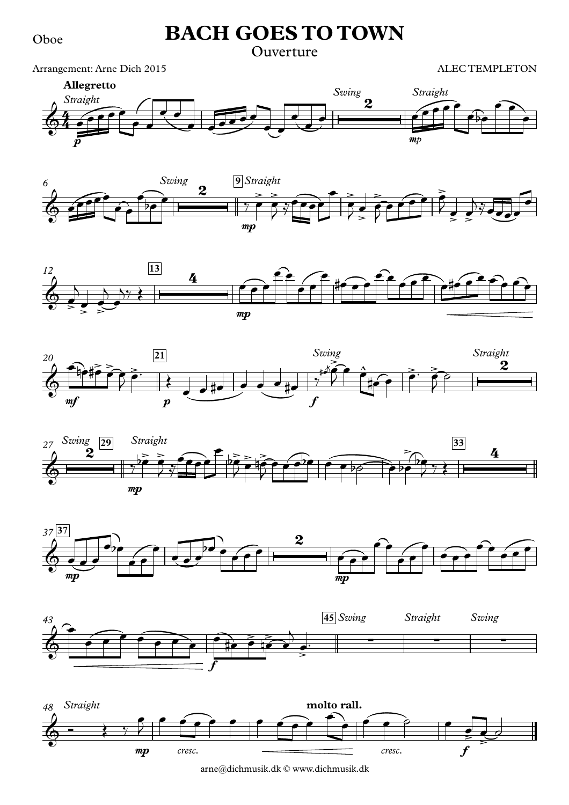Oboe

### **BACH GOES TO TOWN**

### Ouverture

Arrangement: Arne Dich 2015















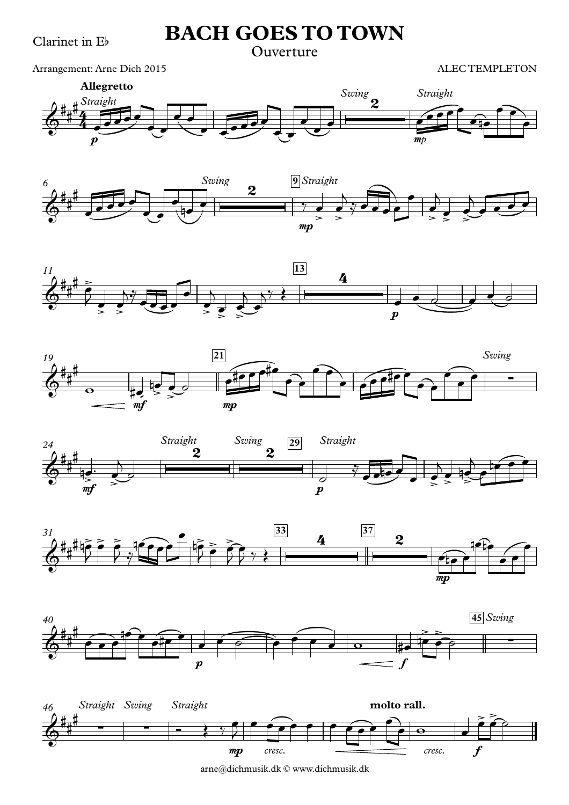Clarinet in Eb

### **BACH GOES TO TOWN**

#### Ouverture

Arrangement: Arne Dich 2015

ALEC TEMPLETON















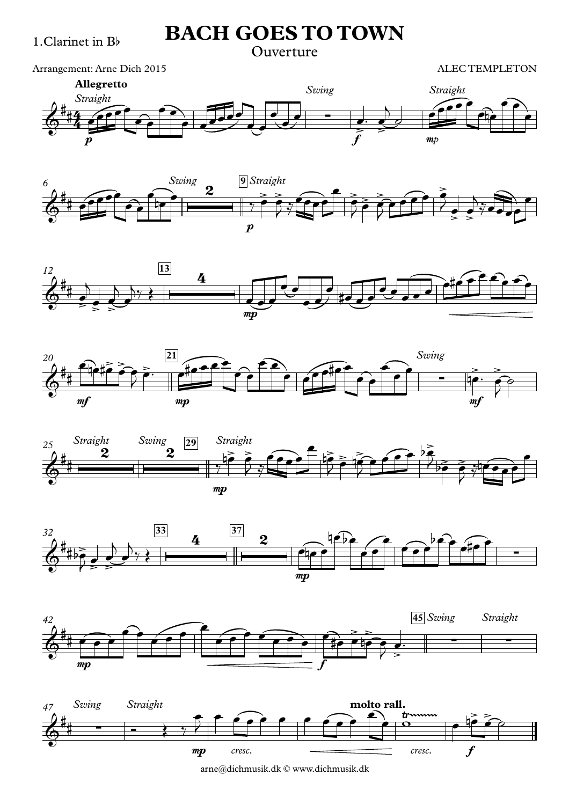#### Ouverture

Arrangement: Arne Dich 2015

ALEC TEMPLETON















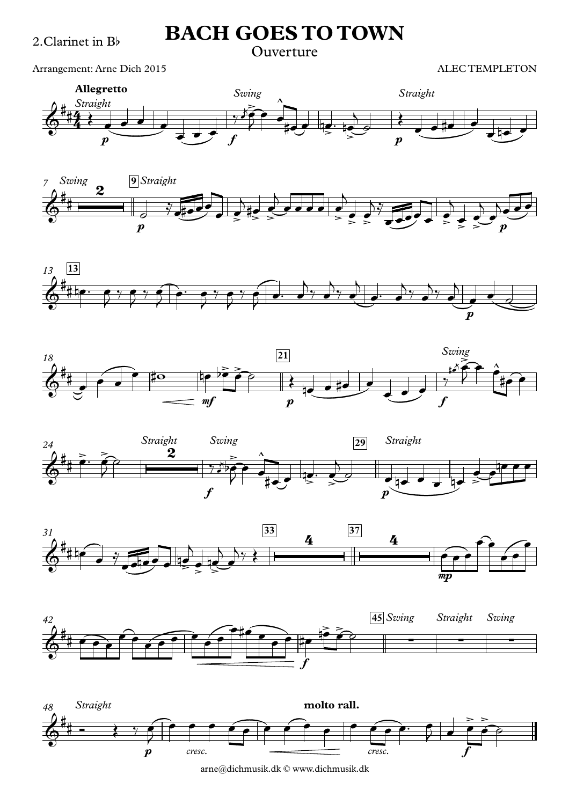#### Ouverture

Arrangement: Arne Dich 2015















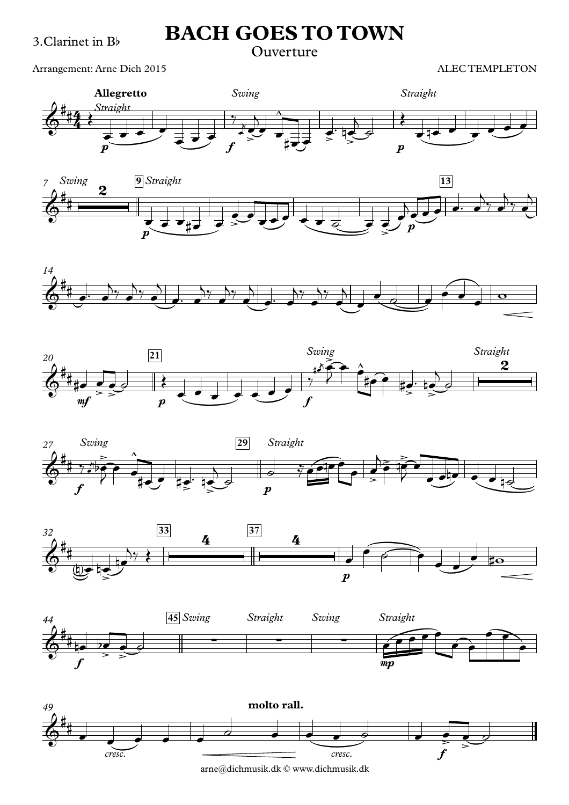#### Ouverture

Arrangement: Arne Dich 2015















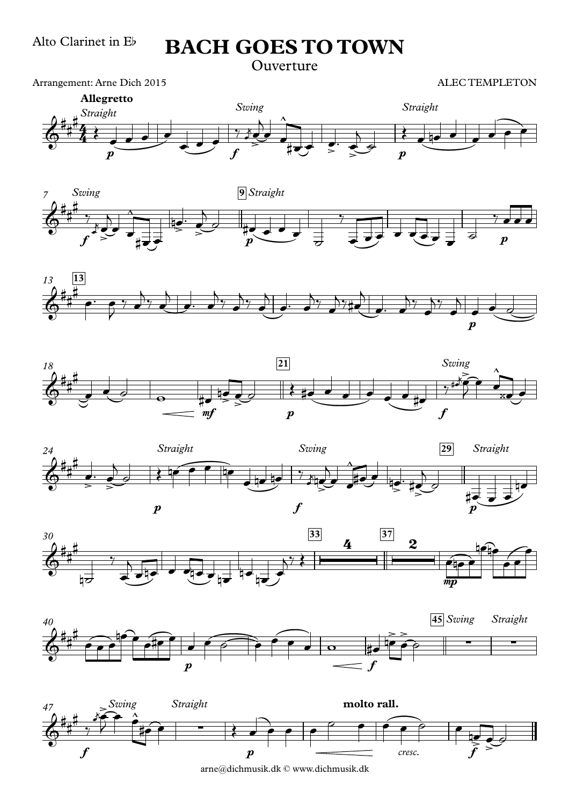Ouverture

Arrangement: Arne Dich 2015















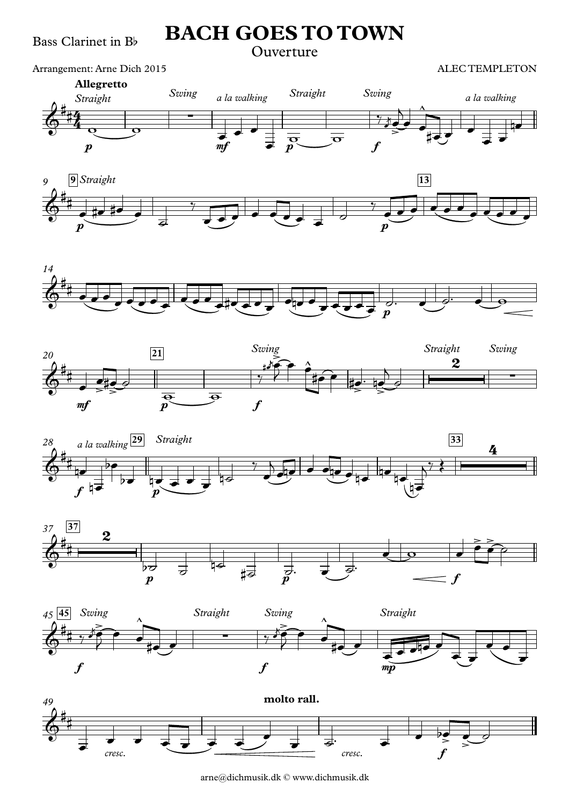#### Ouverture

Arrangement: Arne Dich 2015

















arne@dichmusik.dk © www.dichmusik.dk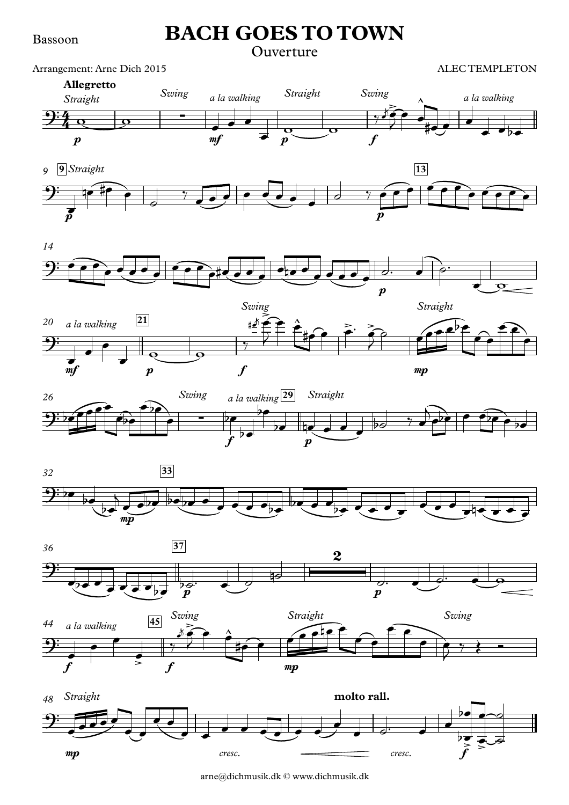#### Bassoon

### **BACH GOES TO TOWN**

#### Ouverture

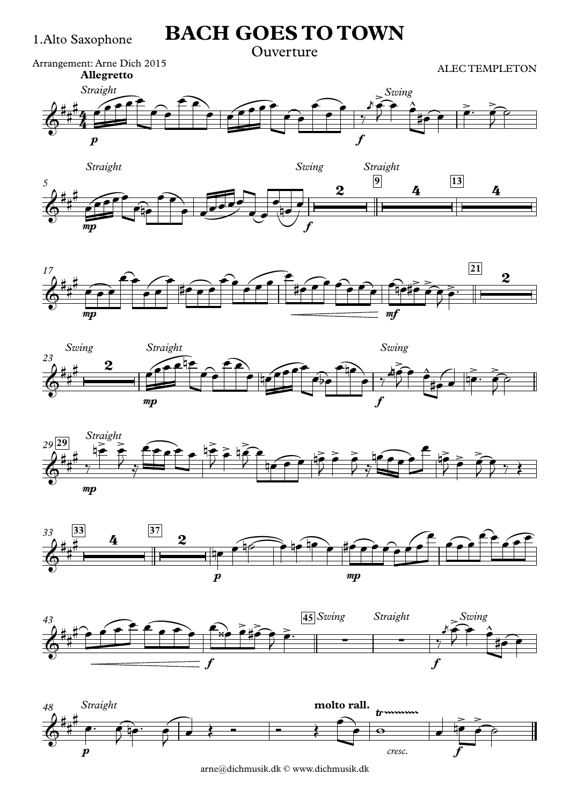#### **Ouverture**















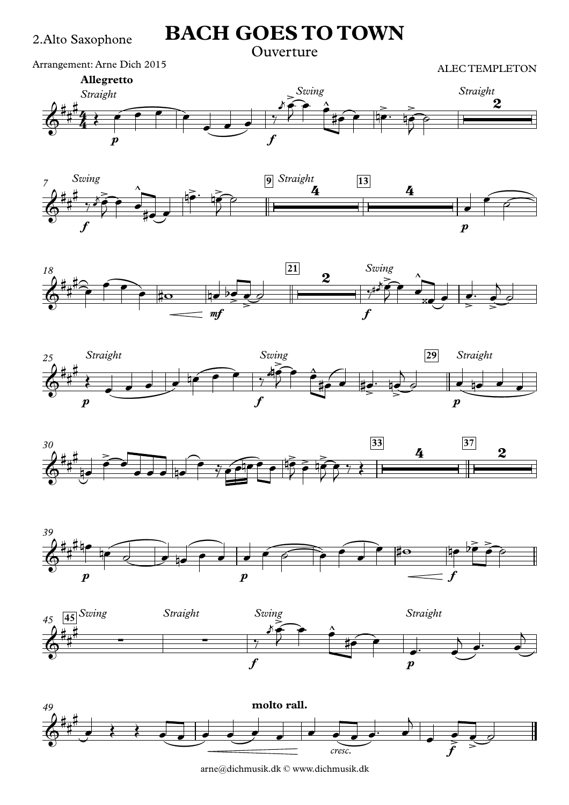#### Ouverture

Arrangement: Arne Dich 2015

ALEC TEMPLETON















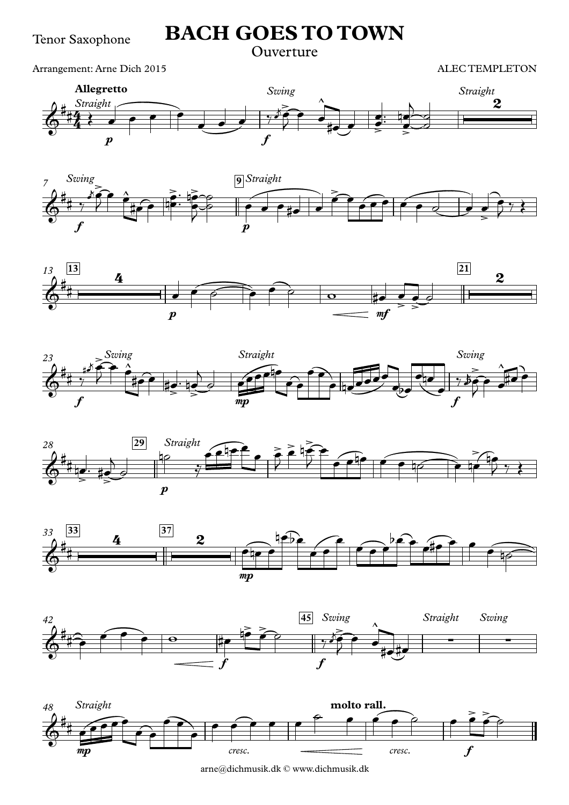#### Ouverture

Arrangement: Arne Dich 2015

ALEC TEMPLETON















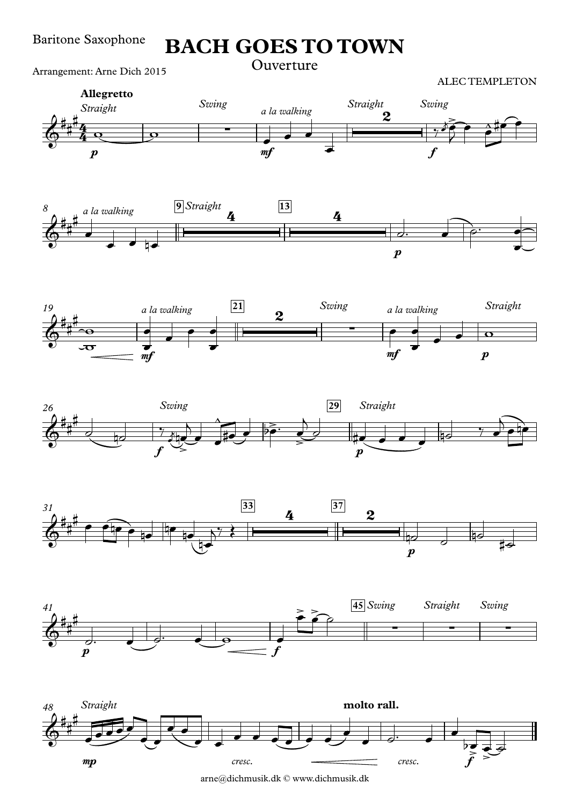Arrangement: Arne Dich 2015















arne@dichmusik.dk © www.dichmusik.dk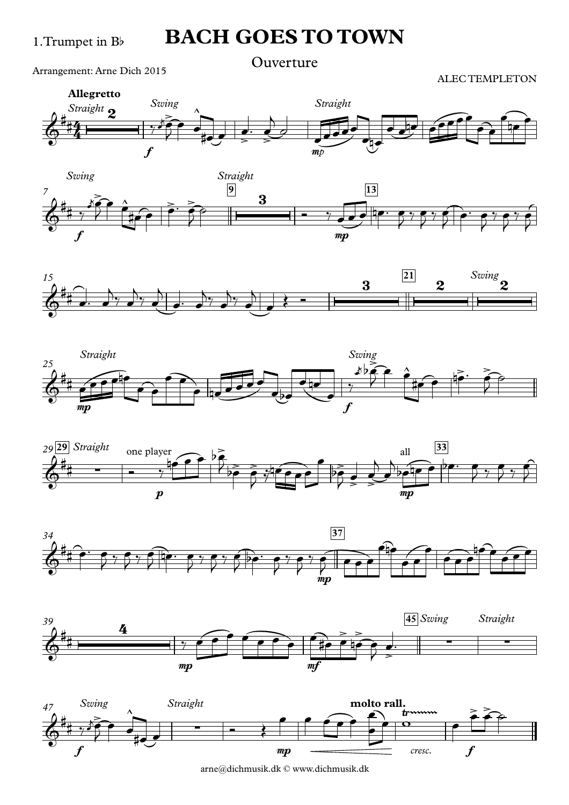Ouverture

Arrangement: Arne Dich 2015

ALEC TEMPLETON















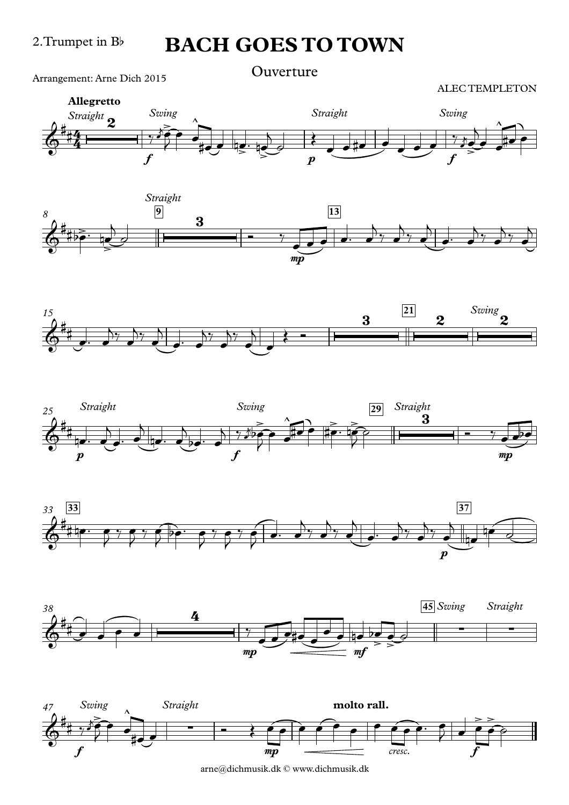Arrangement: Arne Dich 2015 **Ouverture** 













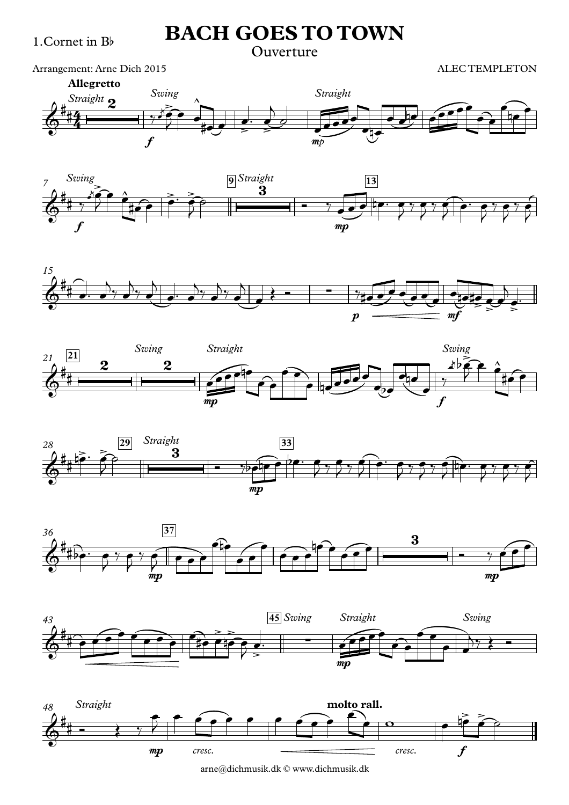### Ouverture

Arrangement: Arne Dich 2015















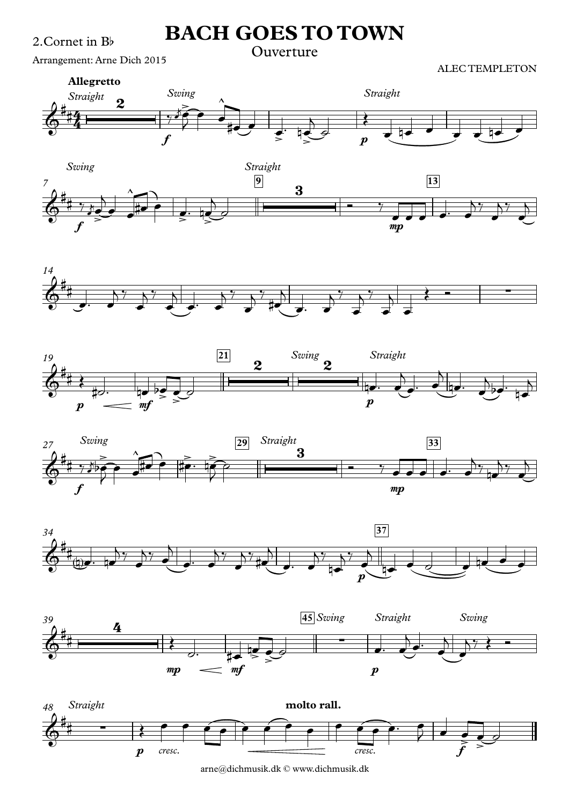Arrangement: Arne Dich 2015















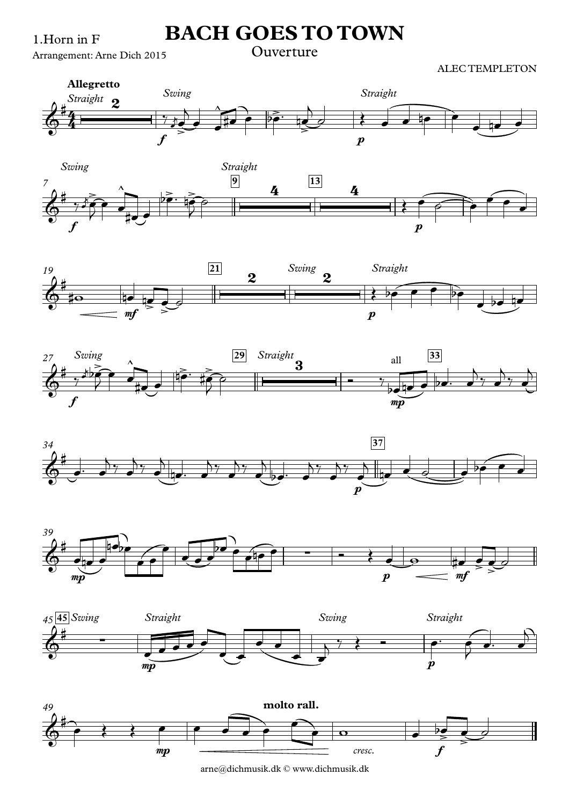1.Horn in F

**BACH GOES TO TOWN** 

#### Arrangement: Arne Dich 2015

ALEC TEMPLETON















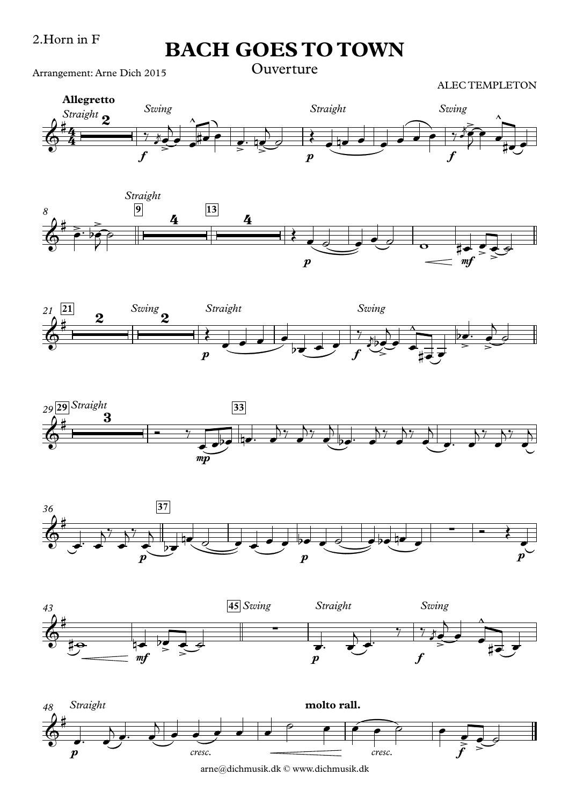Arrangement: Arne Dich 2015













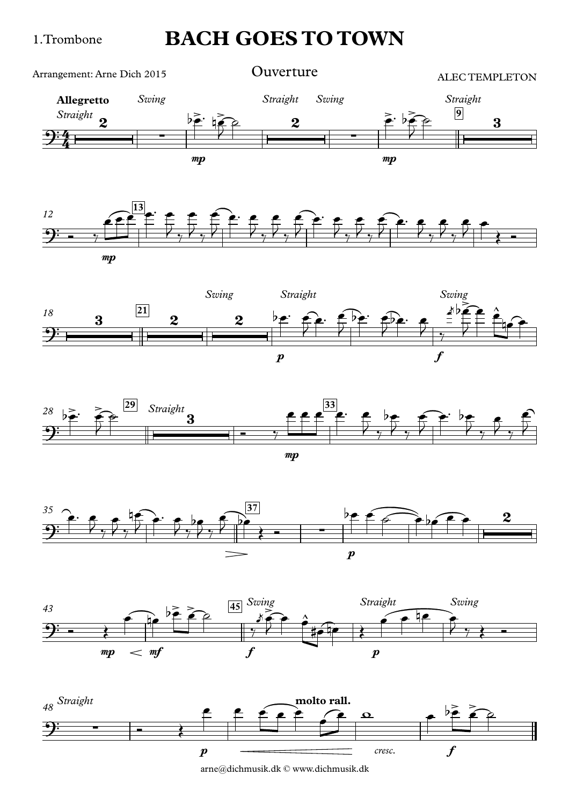1.Trombone

### **BACH GOES TO TOWN**











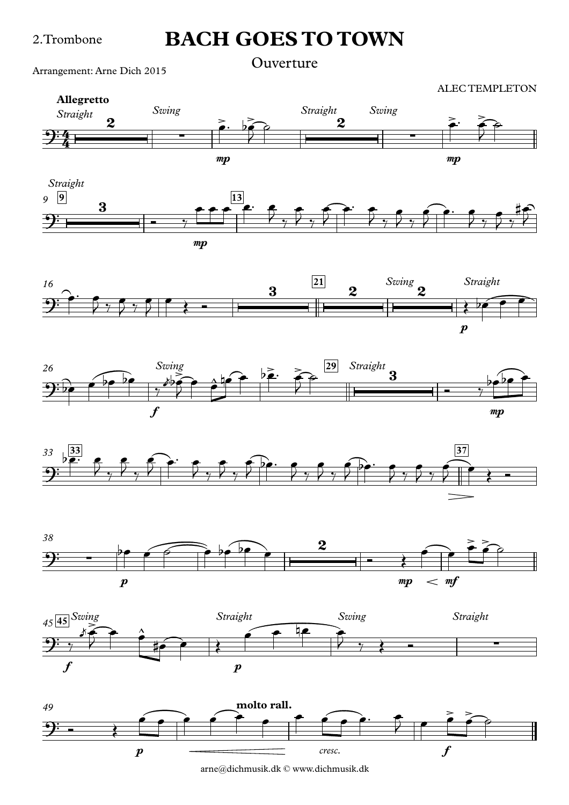#### 2.Trombone

### **BACH GOES TO TOWN**

Arrangement: Arne Dich 2015 **Ouverture** 















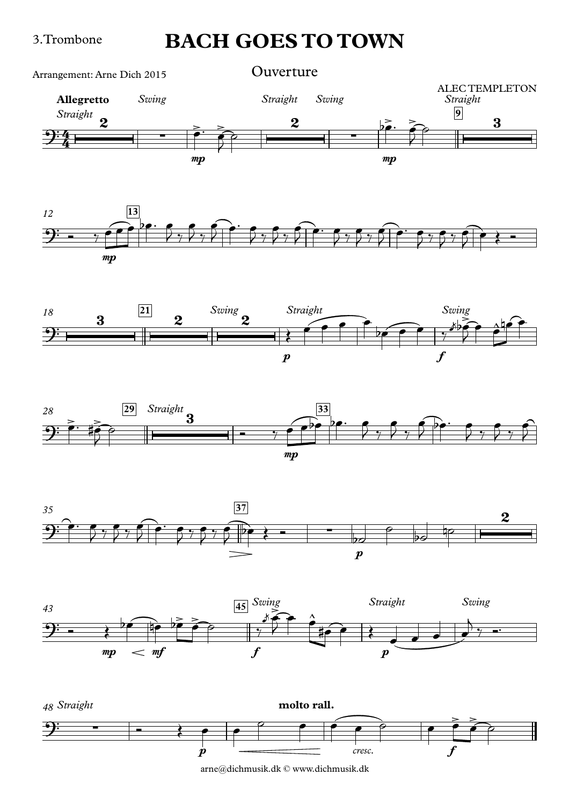#### 3.Trombone

### **BACH GOES TO TOWN**

 $mp$  and  $mp$  and  $mp$  and  $mp$  and  $mp$ **Allegretto** *Straight Swing Straight Swing Straight* **9**  $rac{2}{4}$  $\frac{2}{4}$   $\frac{2}{4}$ 2 <sup>∑</sup> <sup>&</sup>gt; <sup>&</sup>gt; <sup>2</sup>  $\frac{5}{2}$   $\frac{9}{2}$  3 ALEC TEMPLETON<br>Straight Arrangement: Arne Dich 2015 **Ouverture**  $\frac{2}{\sqrt{2}}$  $\frac{1}{2}$  $\phi$  $\overrightarrow{pe}$   $\overrightarrow{ep}$  $\frac{1}{2}$  $\phi$   $\qquad$ 











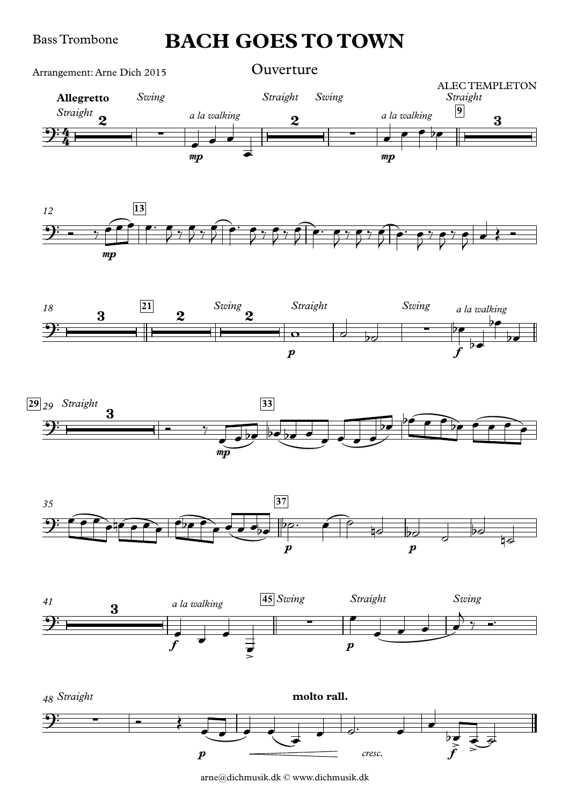Bass Trombone

### **BACH GOES TO TOWN**











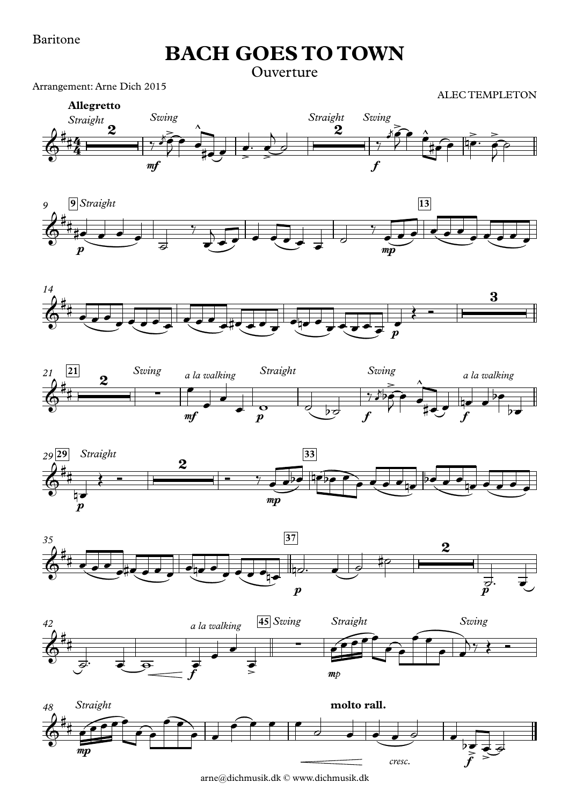#### Baritone

**BACH GOES TO TOWN**

Ouverture

Arrangement: Arne Dich 2015

ALEC TEMPLETON















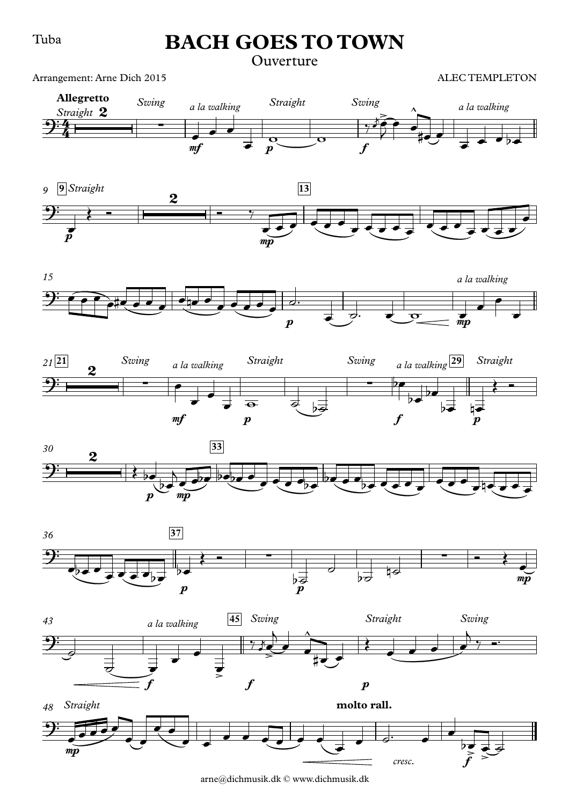#### Tuba

### **BACH GOES TO TOWN**

### Ouverture

Arrangement: Arne Dich 2015

















arne@dichmusik.dk © www.dichmusik.dk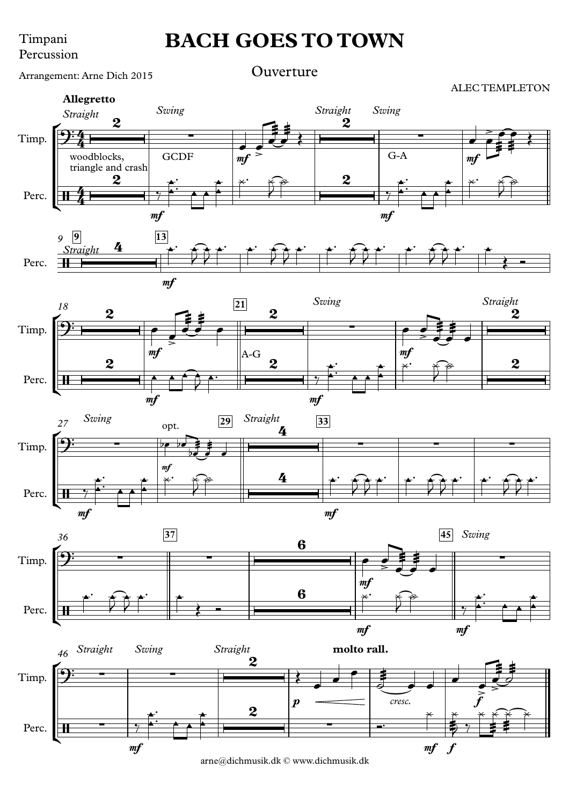#### Timpani Percussion

### **BACH GOES TO TOWN**

Arrangement: Arne Dich 2015 **Ouverture** 

ALEC TEMPLETON

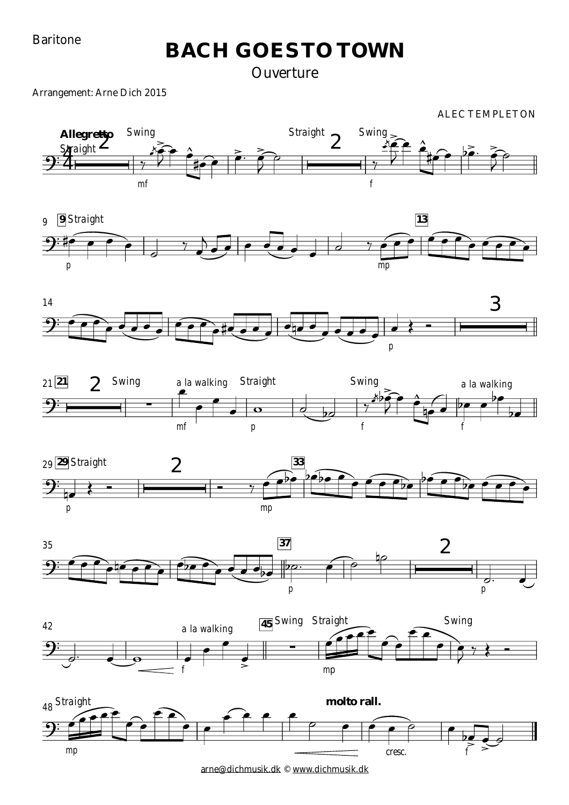Baritone

### **BACH GOES TO TOWN**

### **Ouverture**

Arrangement: Arne Dich 2015

















[arne@dichmusik.dk](mailto:arne@dichmusik.dk) © [www.dichmusik.dk](http://www.dichmusik.dk)